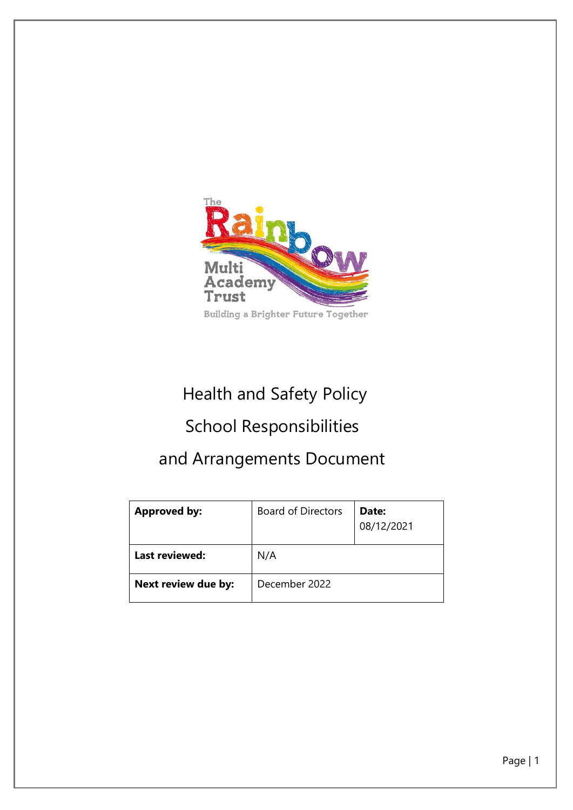

# Health and Safety Policy

# School Responsibilities

# and Arrangements Document

| <b>Approved by:</b> | <b>Board of Directors</b> | Date:<br>08/12/2021 |
|---------------------|---------------------------|---------------------|
| Last reviewed:      | N/A                       |                     |
| Next review due by: | December 2022             |                     |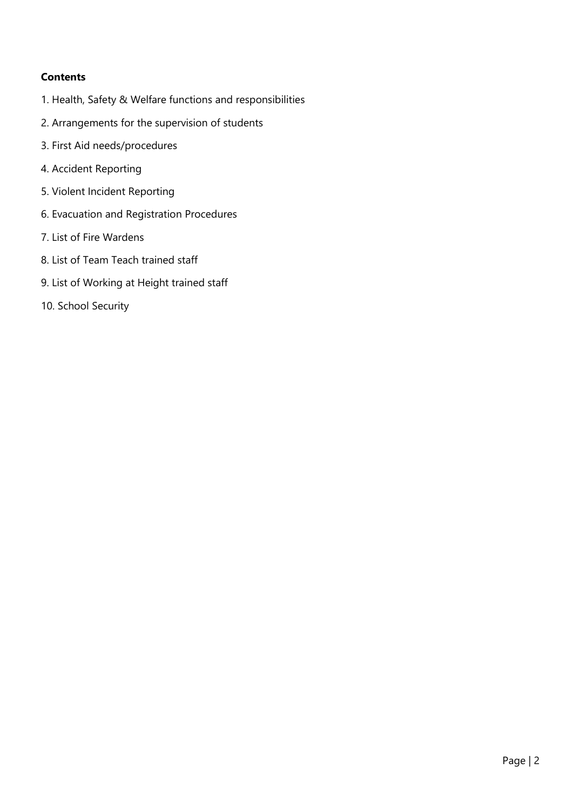### **Contents**

- 1. Health, Safety & Welfare functions and responsibilities
- 2. Arrangements for the supervision of students
- 3. First Aid needs/procedures
- 4. Accident Reporting
- 5. Violent Incident Reporting
- 6. Evacuation and Registration Procedures
- 7. List of Fire Wardens
- 8. List of Team Teach trained staff
- 9. List of Working at Height trained staff
- 10. School Security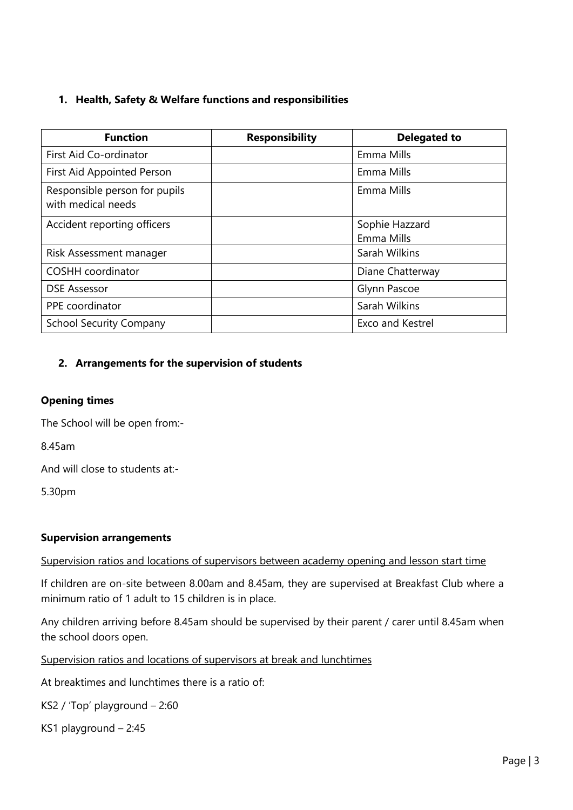### **1. Health, Safety & Welfare functions and responsibilities**

| <b>Function</b>                                     | <b>Responsibility</b> | <b>Delegated to</b>     |
|-----------------------------------------------------|-----------------------|-------------------------|
| First Aid Co-ordinator                              |                       | Emma Mills              |
| First Aid Appointed Person                          |                       | Emma Mills              |
| Responsible person for pupils<br>with medical needs |                       | Emma Mills              |
| Accident reporting officers                         |                       | Sophie Hazzard          |
|                                                     |                       | Emma Mills              |
| Risk Assessment manager                             |                       | Sarah Wilkins           |
| <b>COSHH</b> coordinator                            |                       | Diane Chatterway        |
| <b>DSE Assessor</b>                                 |                       | Glynn Pascoe            |
| PPE coordinator                                     |                       | Sarah Wilkins           |
| <b>School Security Company</b>                      |                       | <b>Exco and Kestrel</b> |

### **2. Arrangements for the supervision of students**

#### **Opening times**

The School will be open from:-

8.45am

And will close to students at:-

5.30pm

#### **Supervision arrangements**

#### Supervision ratios and locations of supervisors between academy opening and lesson start time

If children are on-site between 8.00am and 8.45am, they are supervised at Breakfast Club where a minimum ratio of 1 adult to 15 children is in place.

Any children arriving before 8.45am should be supervised by their parent / carer until 8.45am when the school doors open.

Supervision ratios and locations of supervisors at break and lunchtimes

At breaktimes and lunchtimes there is a ratio of:

KS2 / 'Top' playground – 2:60

KS1 playground – 2:45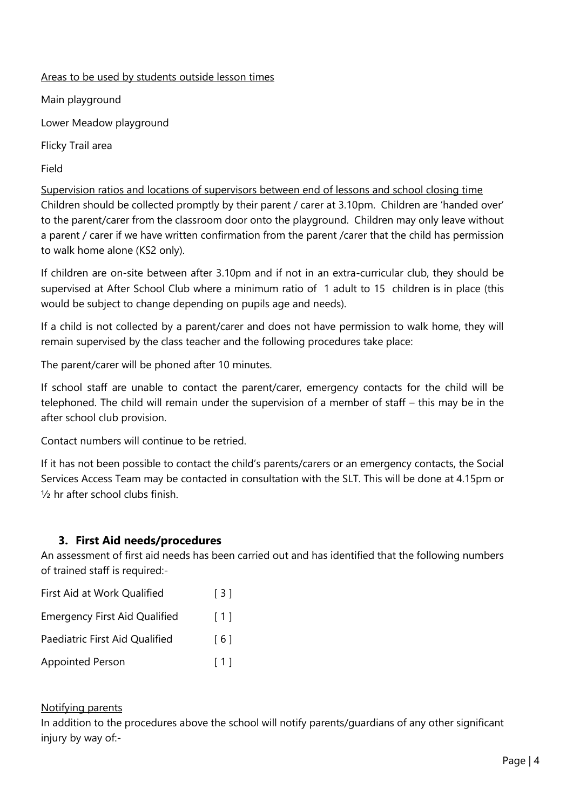### Areas to be used by students outside lesson times

Main playground

Lower Meadow playground

Flicky Trail area

Field

Supervision ratios and locations of supervisors between end of lessons and school closing time Children should be collected promptly by their parent / carer at 3.10pm. Children are 'handed over' to the parent/carer from the classroom door onto the playground. Children may only leave without a parent / carer if we have written confirmation from the parent /carer that the child has permission to walk home alone (KS2 only).

If children are on-site between after 3.10pm and if not in an extra-curricular club, they should be supervised at After School Club where a minimum ratio of 1 adult to 15 children is in place (this would be subject to change depending on pupils age and needs).

If a child is not collected by a parent/carer and does not have permission to walk home, they will remain supervised by the class teacher and the following procedures take place:

The parent/carer will be phoned after 10 minutes.

If school staff are unable to contact the parent/carer, emergency contacts for the child will be telephoned. The child will remain under the supervision of a member of staff – this may be in the after school club provision.

Contact numbers will continue to be retried.

If it has not been possible to contact the child's parents/carers or an emergency contacts, the Social Services Access Team may be contacted in consultation with the SLT. This will be done at 4.15pm or ½ hr after school clubs finish.

## **3. First Aid needs/procedures**

An assessment of first aid needs has been carried out and has identified that the following numbers of trained staff is required:-

| First Aid at Work Qualified          | $\lceil 3 \rceil$ |
|--------------------------------------|-------------------|
| <b>Emergency First Aid Qualified</b> | [1]               |
| Paediatric First Aid Qualified       | [6]               |
| <b>Appointed Person</b>              | [1]               |

## Notifying parents

In addition to the procedures above the school will notify parents/guardians of any other significant injury by way of:-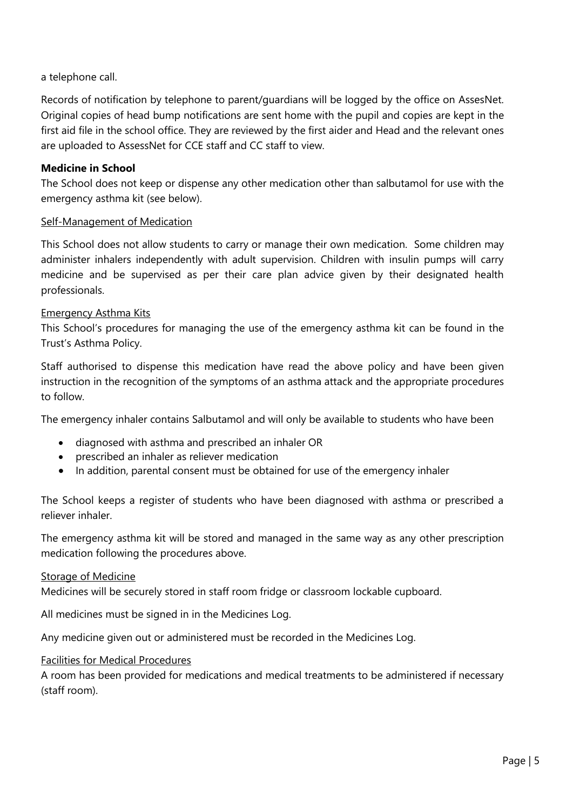### a telephone call.

Records of notification by telephone to parent/guardians will be logged by the office on AssesNet. Original copies of head bump notifications are sent home with the pupil and copies are kept in the first aid file in the school office. They are reviewed by the first aider and Head and the relevant ones are uploaded to AssessNet for CCE staff and CC staff to view.

#### **Medicine in School**

The School does not keep or dispense any other medication other than salbutamol for use with the emergency asthma kit (see below).

#### Self-Management of Medication

This School does not allow students to carry or manage their own medication. Some children may administer inhalers independently with adult supervision. Children with insulin pumps will carry medicine and be supervised as per their care plan advice given by their designated health professionals.

#### Emergency Asthma Kits

This School's procedures for managing the use of the emergency asthma kit can be found in the Trust's Asthma Policy.

Staff authorised to dispense this medication have read the above policy and have been given instruction in the recognition of the symptoms of an asthma attack and the appropriate procedures to follow.

The emergency inhaler contains Salbutamol and will only be available to students who have been

- diagnosed with asthma and prescribed an inhaler OR
- prescribed an inhaler as reliever medication
- In addition, parental consent must be obtained for use of the emergency inhaler

The School keeps a register of students who have been diagnosed with asthma or prescribed a reliever inhaler.

The emergency asthma kit will be stored and managed in the same way as any other prescription medication following the procedures above.

#### Storage of Medicine

Medicines will be securely stored in staff room fridge or classroom lockable cupboard.

All medicines must be signed in in the Medicines Log.

Any medicine given out or administered must be recorded in the Medicines Log.

#### Facilities for Medical Procedures

A room has been provided for medications and medical treatments to be administered if necessary (staff room).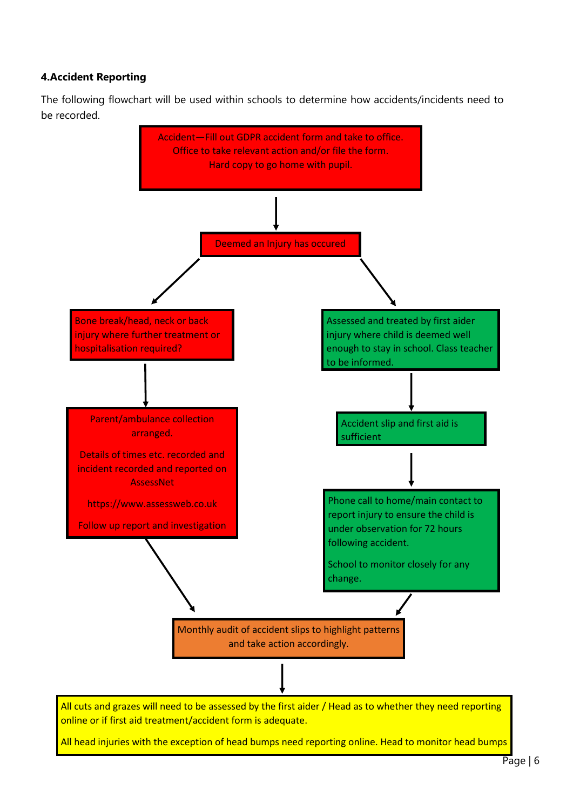### **4.Accident Reporting**

for patterns. The patterns of the patterns of the patterns of the patterns. The patterns of the patterns of th<br>The patterns of the patterns of the patterns of the patterns of the patterns of the patterns of the patterns o

The following flowchart will be used within schools to determine how accidents/incidents need to be recorded.

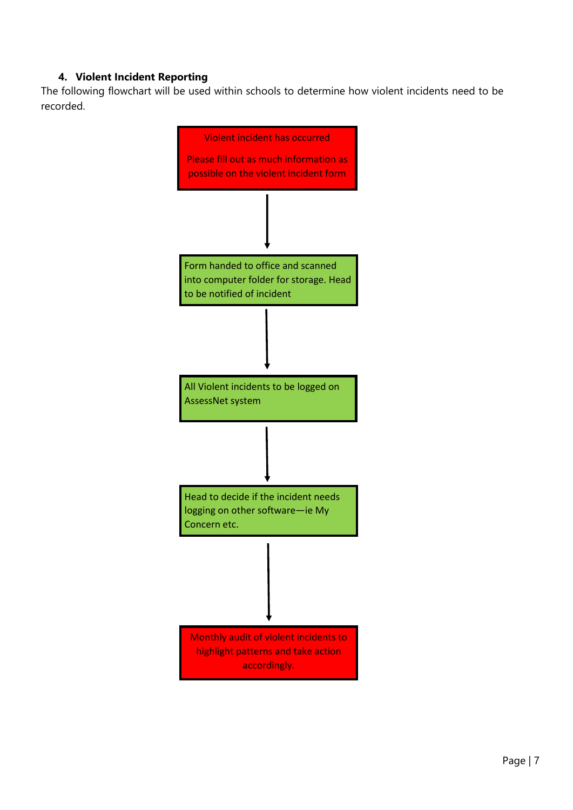## **4. Violent Incident Reporting**

The following flowchart will be used within schools to determine how violent incidents need to be recorded.

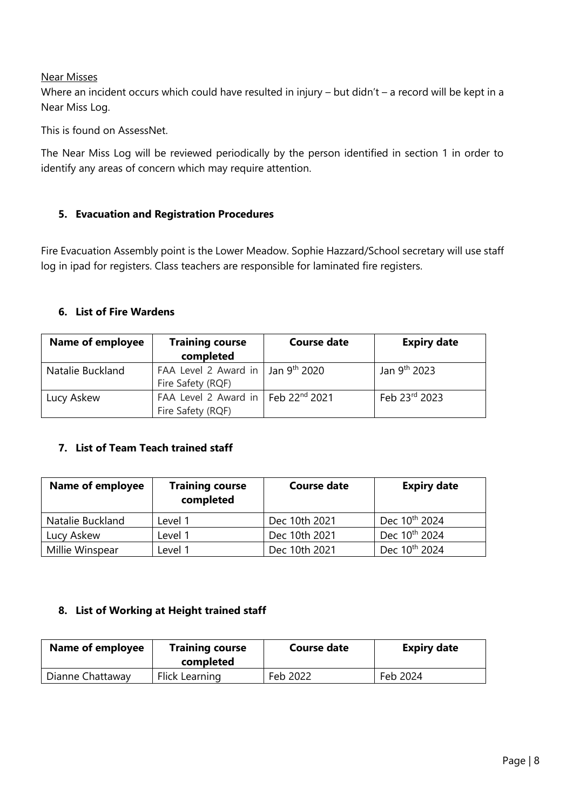#### Near Misses

Where an incident occurs which could have resulted in injury – but didn't – a record will be kept in a Near Miss Log.

This is found on AssessNet.

The Near Miss Log will be reviewed periodically by the person identified in section 1 in order to identify any areas of concern which may require attention.

### **5. Evacuation and Registration Procedures**

Fire Evacuation Assembly point is the Lower Meadow. Sophie Hazzard/School secretary will use staff log in ipad for registers. Class teachers are responsible for laminated fire registers.

#### **6. List of Fire Wardens**

| <b>Name of employee</b> | <b>Training course</b><br>completed                                 | <b>Course date</b> | <b>Expiry date</b>       |
|-------------------------|---------------------------------------------------------------------|--------------------|--------------------------|
| Natalie Buckland        | FAA Level 2 Award in   Jan $9th$ 2020<br>Fire Safety (RQF)          |                    | Jan 9 <sup>th</sup> 2023 |
| Lucy Askew              | FAA Level 2 Award in Feb 22 <sup>nd</sup> 2021<br>Fire Safety (RQF) |                    | Feb 23rd 2023            |

## **7. List of Team Teach trained staff**

| Name of employee | <b>Training course</b><br>completed | <b>Course date</b> | <b>Expiry date</b>        |
|------------------|-------------------------------------|--------------------|---------------------------|
| Natalie Buckland | Level 1                             | Dec 10th 2021      | Dec 10 <sup>th</sup> 2024 |
| Lucy Askew       | Level 1                             | Dec 10th 2021      | Dec 10 <sup>th</sup> 2024 |
| Millie Winspear  | Level 1                             | Dec 10th 2021      | Dec 10 <sup>th</sup> 2024 |

#### **8. List of Working at Height trained staff**

| Name of employee | <b>Training course</b><br>completed | Course date | <b>Expiry date</b> |
|------------------|-------------------------------------|-------------|--------------------|
| Dianne Chattaway | Flick Learning                      | Feb 2022    | Feb 2024           |